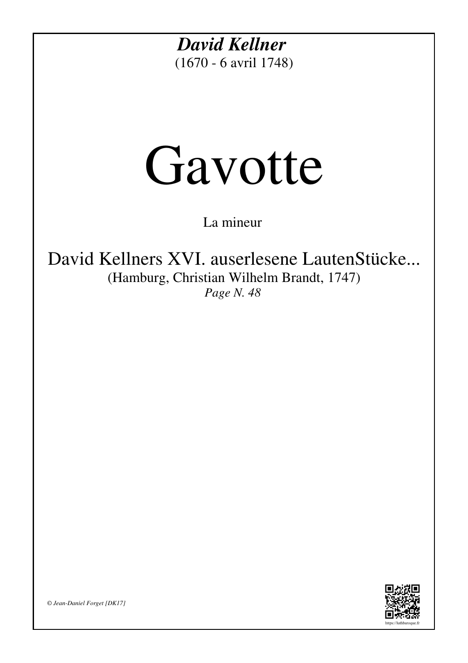*David Kellner* (1670 - 6 avril 1748)

## Gavotte

La mineur

David Kellners XVI. auserlesene LautenStücke... (Hamburg, Christian Wilhelm Brandt, 1747) *Page N. 48*



*© Jean-Daniel Forget [DK17]*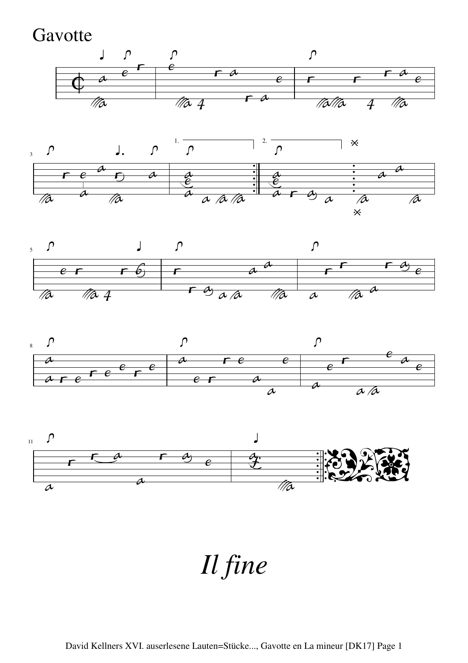**Gavotte** 











*Il fine*